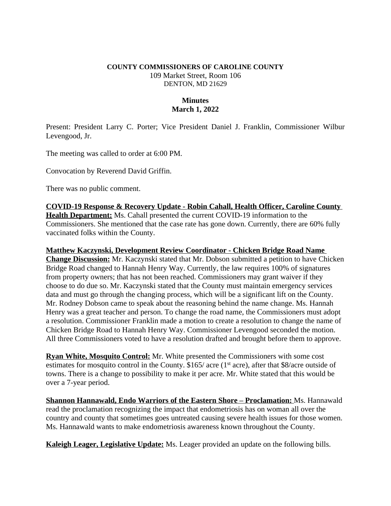## **COUNTY COMMISSIONERS OF CAROLINE COUNTY** 109 Market Street, Room 106 DENTON, MD 21629

## **Minutes March 1, 2022**

Present: President Larry C. Porter; Vice President Daniel J. Franklin, Commissioner Wilbur Levengood, Jr.

The meeting was called to order at 6:00 PM.

Convocation by Reverend David Griffin.

There was no public comment.

**COVID-19 Response & Recovery Update - Robin Cahall, Health Officer, Caroline County Health Department:** Ms. Cahall presented the current COVID-19 information to the Commissioners. She mentioned that the case rate has gone down. Currently, there are 60% fully vaccinated folks within the County.

## **Matthew Kaczynski, Development Review Coordinator - Chicken Bridge Road Name**

**Change Discussion:** Mr. Kaczynski stated that Mr. Dobson submitted a petition to have Chicken Bridge Road changed to Hannah Henry Way. Currently, the law requires 100% of signatures from property owners; that has not been reached. Commissioners may grant waiver if they choose to do due so. Mr. Kaczynski stated that the County must maintain emergency services data and must go through the changing process, which will be a significant lift on the County. Mr. Rodney Dobson came to speak about the reasoning behind the name change. Ms. Hannah Henry was a great teacher and person. To change the road name, the Commissioners must adopt a resolution. Commissioner Franklin made a motion to create a resolution to change the name of Chicken Bridge Road to Hannah Henry Way. Commissioner Levengood seconded the motion. All three Commissioners voted to have a resolution drafted and brought before them to approve.

**Ryan White, Mosquito Control:** Mr. White presented the Commissioners with some cost estimates for mosquito control in the County. \$165/ acre (1<sup>st</sup> acre), after that \$8/acre outside of towns. There is a change to possibility to make it per acre. Mr. White stated that this would be over a 7-year period.

**<u>Shannon Hannawald, Endo Warriors of the Eastern Shore - Proclamation: Ms. Hannawald</u>** read the proclamation recognizing the impact that endometriosis has on woman all over the country and county that sometimes goes untreated causing severe health issues for those women. Ms. Hannawald wants to make endometriosis awareness known throughout the County.

**Kaleigh Leager, Legislative Update:** Ms. Leager provided an update on the following bills.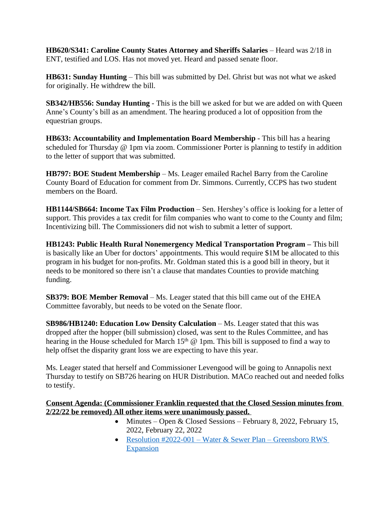**HB620/S341: Caroline County States Attorney and Sheriffs Salaries** – Heard was 2/18 in ENT, testified and LOS. Has not moved yet. Heard and passed senate floor.

**HB631: Sunday Hunting** – This bill was submitted by Del. Ghrist but was not what we asked for originally. He withdrew the bill.

**SB342/HB556: Sunday Hunting** - This is the bill we asked for but we are added on with Queen Anne's County's bill as an amendment. The hearing produced a lot of opposition from the equestrian groups.

**HB633: Accountability and Implementation Board Membership** - This bill has a hearing scheduled for Thursday @ 1pm via zoom. Commissioner Porter is planning to testify in addition to the letter of support that was submitted.

**HB797: BOE Student Membership** – Ms. Leager emailed Rachel Barry from the Caroline County Board of Education for comment from Dr. Simmons. Currently, CCPS has two student members on the Board.

**HB1144/SB664: Income Tax Film Production** – Sen. Hershey's office is looking for a letter of support. This provides a tax credit for film companies who want to come to the County and film; Incentivizing bill. The Commissioners did not wish to submit a letter of support.

**HB1243: Public Health Rural Nonemergency Medical Transportation Program –** This bill is basically like an Uber for doctors' appointments. This would require \$1M be allocated to this program in his budget for non-profits. Mr. Goldman stated this is a good bill in theory, but it needs to be monitored so there isn't a clause that mandates Counties to provide matching funding.

**SB379: BOE Member Removal** – Ms. Leager stated that this bill came out of the EHEA Committee favorably, but needs to be voted on the Senate floor.

**SB986/HB1240: Education Low Density Calculation** – Ms. Leager stated that this was dropped after the hopper (bill submission) closed, was sent to the Rules Committee, and has hearing in the House scheduled for March  $15<sup>th</sup>$  @ 1pm. This bill is supposed to find a way to help offset the disparity grant loss we are expecting to have this year.

Ms. Leager stated that herself and Commissioner Levengood will be going to Annapolis next Thursday to testify on SB726 hearing on HUR Distribution. MACo reached out and needed folks to testify.

## **Consent Agenda: (Commissioner Franklin requested that the Closed Session minutes from 2/22/22 be removed) All other items were unanimously passed.**

- Minutes Open & Closed Sessions February 8, 2022, February 15, 2022, February 22, 2022
- [Resolution #2022-001](https://www.carolinemd.org/DocumentCenter/View/6884/2022-001-Water-and-Sewer-Plan---Greensboro-RWS-Expansion)  Water & Sewer Plan Greensboro RWS Expansion